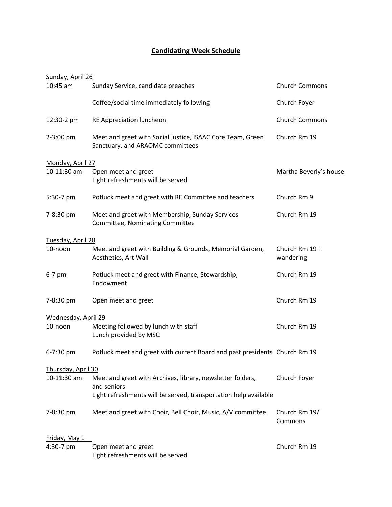## **Candidating Week Schedule**

| Sunday, April 26    |                                                                                                |                             |
|---------------------|------------------------------------------------------------------------------------------------|-----------------------------|
| $10:45$ am          | Sunday Service, candidate preaches                                                             | <b>Church Commons</b>       |
|                     | Coffee/social time immediately following                                                       | Church Foyer                |
| 12:30-2 pm          | RE Appreciation luncheon                                                                       | <b>Church Commons</b>       |
| 2-3:00 pm           | Meet and greet with Social Justice, ISAAC Core Team, Green<br>Sanctuary, and ARAOMC committees | Church Rm 19                |
| Monday, April 27    |                                                                                                |                             |
| 10-11:30 am         | Open meet and greet<br>Light refreshments will be served                                       | Martha Beverly's house      |
| 5:30-7 pm           | Potluck meet and greet with RE Committee and teachers                                          | Church Rm 9                 |
| 7-8:30 pm           | Meet and greet with Membership, Sunday Services<br>Committee, Nominating Committee             | Church Rm 19                |
| Tuesday, April 28   |                                                                                                |                             |
| 10-noon             | Meet and greet with Building & Grounds, Memorial Garden,<br>Aesthetics, Art Wall               | Church Rm 19 +<br>wandering |
| $6-7$ pm            | Potluck meet and greet with Finance, Stewardship,<br>Endowment                                 | Church Rm 19                |
| 7-8:30 pm           | Open meet and greet                                                                            | Church Rm 19                |
| Wednesday, April 29 |                                                                                                |                             |
| 10-noon             | Meeting followed by lunch with staff<br>Lunch provided by MSC                                  | Church Rm 19                |
| 6-7:30 pm           | Potluck meet and greet with current Board and past presidents Church Rm 19                     |                             |
| Thursday, April 30  |                                                                                                |                             |
| 10-11:30 am         | Meet and greet with Archives, library, newsletter folders,<br>and seniors                      | Church Foyer                |
|                     | Light refreshments will be served, transportation help available                               |                             |
| 7-8:30 pm           | Meet and greet with Choir, Bell Choir, Music, A/V committee                                    | Church Rm 19/<br>Commons    |
| Friday, May 1       |                                                                                                |                             |
| 4:30-7 pm           | Open meet and greet<br>Light refreshments will be served                                       | Church Rm 19                |